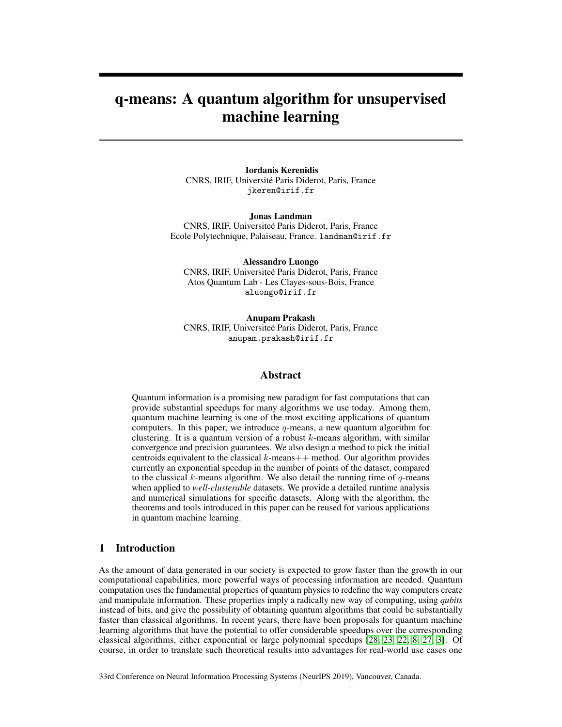# q-means: A quantum algorithm for unsupervised machine learning

Iordanis Kerenidis CNRS, IRIF, Université Paris Diderot, Paris, France jkeren@irif.fr

Jonas Landman CNRS, IRIF, Universiteé Paris Diderot, Paris, France Ecole Polytechnique, Palaiseau, France. landman@irif.fr

Alessandro Luongo CNRS, IRIF, Universiteé Paris Diderot, Paris, France Atos Quantum Lab - Les Clayes-sous-Bois, France aluongo@irif.fr

Anupam Prakash CNRS, IRIF, Universiteé Paris Diderot, Paris, France anupam.prakash@irif.fr

# Abstract

Quantum information is a promising new paradigm for fast computations that can provide substantial speedups for many algorithms we use today. Among them, quantum machine learning is one of the most exciting applications of quantum computers. In this paper, we introduce  $q$ -means, a new quantum algorithm for clustering. It is a quantum version of a robust  $k$ -means algorithm, with similar convergence and precision guarantees. We also design a method to pick the initial centroids equivalent to the classical  $k$ -means  $++$  method. Our algorithm provides currently an exponential speedup in the number of points of the dataset, compared to the classical  $k$ -means algorithm. We also detail the running time of  $q$ -means when applied to *well-clusterable* datasets. We provide a detailed runtime analysis and numerical simulations for specific datasets. Along with the algorithm, the theorems and tools introduced in this paper can be reused for various applications in quantum machine learning.

# 1 Introduction

As the amount of data generated in our society is expected to grow faster than the growth in our computational capabilities, more powerful ways of processing information are needed. Quantum computation uses the fundamental properties of quantum physics to redefine the way computers create and manipulate information. These properties imply a radically new way of computing, using *qubits* instead of bits, and give the possibility of obtaining quantum algorithms that could be substantially faster than classical algorithms. In recent years, there have been proposals for quantum machine learning algorithms that have the potential to offer considerable speedups over the corresponding classical algorithms, either exponential or large polynomial speedups [\[28,](#page-10-0) [23,](#page-10-1) [22,](#page-10-2) [8,](#page-9-0) [27,](#page-10-3) [3\]](#page-9-1). Of course, in order to translate such theoretical results into advantages for real-world use cases one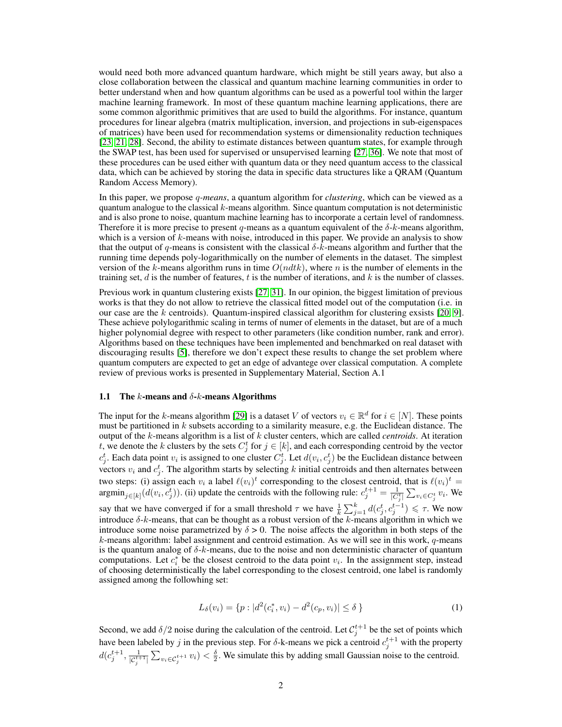would need both more advanced quantum hardware, which might be still years away, but also a close collaboration between the classical and quantum machine learning communities in order to better understand when and how quantum algorithms can be used as a powerful tool within the larger machine learning framework. In most of these quantum machine learning applications, there are some common algorithmic primitives that are used to build the algorithms. For instance, quantum procedures for linear algebra (matrix multiplication, inversion, and projections in sub-eigenspaces of matrices) have been used for recommendation systems or dimensionality reduction techniques [\[23,](#page-10-1) [21,](#page-10-4) [28\]](#page-10-0). Second, the ability to estimate distances between quantum states, for example through the SWAP test, has been used for supervised or unsupervised learning [\[27,](#page-10-3) [36\]](#page-10-5). We note that most of these procedures can be used either with quantum data or they need quantum access to the classical data, which can be achieved by storing the data in specific data structures like a QRAM (Quantum Random Access Memory).

In this paper, we propose q*-means*, a quantum algorithm for *clustering*, which can be viewed as a quantum analogue to the classical  $k$ -means algorithm. Since quantum computation is not deterministic and is also prone to noise, quantum machine learning has to incorporate a certain level of randomness. Therefore it is more precise to present q-means as a quantum equivalent of the  $\delta$ -k-means algorithm, which is a version of  $k$ -means with noise, introduced in this paper. We provide an analysis to show that the output of q-means is consistent with the classical  $\delta$ -k-means algorithm and further that the running time depends poly-logarithmically on the number of elements in the dataset. The simplest version of the k-means algorithm runs in time  $O(ndtk)$ , where n is the number of elements in the training set,  $d$  is the number of features,  $t$  is the number of iterations, and  $k$  is the number of classes.

Previous work in quantum clustering exists [\[27,](#page-10-3) [31\]](#page-10-6). In our opinion, the biggest limitation of previous works is that they do not allow to retrieve the classical fitted model out of the computation (i.e. in our case are the  $k$  centroids). Quantum-inspired classical algorithm for clustering exsists [\[20,](#page-10-7) [9\]](#page-9-2). These achieve polylogarithmic scaling in terms of numer of elements in the dataset, but are of a much higher polynomial degree with respect to other parameters (like condition number, rank and error). Algorithms based on these techniques have been implemented and benchmarked on real dataset with discouraging results [\[5\]](#page-9-3), therefore we don't expect these results to change the set problem where quantum computers are expected to get an edge of advantege over classical computation. A complete review of previous works is presented in Supplementary Material, Section A.1

#### 1.1 The k-means and  $\delta$ -k-means Algorithms

The input for the k-means algorithm [\[29\]](#page-10-8) is a dataset V of vectors  $v_i \in \mathbb{R}^d$  for  $i \in [N]$ . These points must be partitioned in k subsets according to a similarity measure, e.g. the Euclidean distance. The output of the k-means algorithm is a list of k cluster centers, which are called *centroids*. At iteration t, we denote the k clusters by the sets  $C_j^t$  for  $j \in [k]$ , and each corresponding centroid by the vector  $c_j^t$ . Each data point  $v_i$  is assigned to one cluster  $C_j^t$ . Let  $d(v_i, c_j^t)$  be the Euclidean distance between vectors  $v_i$  and  $c_j^t$ . The algorithm starts by selecting k initial centroids and then alternates between two steps: (i) assign each  $v_i$  a label  $\ell(v_i)^t$  corresponding to the closest centroid, that is  $\ell(v_i)^t =$ argmin $_{j\in[k]}(d(v_i, c_j^t))$ . (ii) update the centroids with the following rule:  $c_j^{t+1} = \frac{1}{|C_j^t|} \sum_{v_i \in C_j^t} v_i$ . We say that we have converged if for a small threshold  $\tau$  we have  $\frac{1}{k} \sum_{j=1}^{k} d(c_j^t, c_j^{t-1}) \leq \tau$ . We now introduce  $\delta$ -k-means, that can be thought as a robust version of the k-means algorithm in which we introduce some noise parametrized by  $\delta > 0$ . The noise affects the algorithm in both steps of the  $k$ -means algorithm: label assignment and centroid estimation. As we will see in this work,  $q$ -means is the quantum analog of  $\delta$ -k-means, due to the noise and non deterministic character of quantum computations. Let  $c_i^*$  be the closest centroid to the data point  $v_i$ . In the assignment step, instead of choosing deterministically the label corresponding to the closest centroid, one label is randomly assigned among the followhing set:

$$
L_{\delta}(v_i) = \{ p : |d^2(c_i^*, v_i) - d^2(c_p, v_i)| \le \delta \}
$$
\n(1)

Second, we add  $\delta/2$  noise during the calculation of the centroid. Let  $\mathcal{C}_j^{t+1}$  be the set of points which have been labeled by j in the previous step. For  $\delta$ -k-means we pick a centroid  $c_j^{t+1}$  with the property  $d(c_j^{t+1}, \frac{1}{|c_j^{t+1}|} \sum_{v_i \in C_j^{t+1}} v_i) < \frac{\delta}{2}$ . We simulate this by adding small Gaussian noise to the centroid.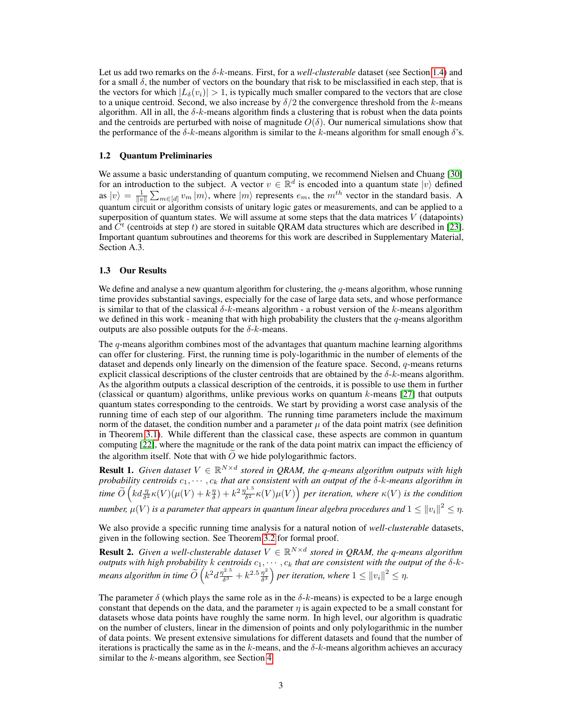Let us add two remarks on the  $\delta$ -k-means. First, for a *well-clusterable* dataset (see Section [1.4\)](#page-3-0) and for a small  $\delta$ , the number of vectors on the boundary that risk to be misclassified in each step, that is the vectors for which  $|L_{\delta}(v_i)| > 1$ , is typically much smaller compared to the vectors that are close to a unique centroid. Second, we also increase by  $\delta/2$  the convergence threshold from the k-means algorithm. All in all, the  $\delta$ -k-means algorithm finds a clustering that is robust when the data points and the centroids are perturbed with noise of magnitude  $O(\delta)$ . Our numerical simulations show that the performance of the  $\delta$ -k-means algorithm is similar to the k-means algorithm for small enough  $\delta$ 's.

### 1.2 Quantum Preliminaries

We assume a basic understanding of quantum computing, we recommend Nielsen and Chuang [\[30\]](#page-10-9) for an introduction to the subject. A vector  $v \in \mathbb{R}^d$  is encoded into a quantum state  $|v\rangle$  defined as  $|v\rangle = \frac{1}{||v||} \sum_{m \in [d]} v_m |m\rangle$ , where  $|m\rangle$  represents  $e_m$ , the  $m<sup>th</sup>$  vector in the standard basis. A quantum circuit or algorithm consists of unitary logic gates or measurements, and can be applied to a superposition of quantum states. We will assume at some steps that the data matrices  $V$  (datapoints) and  $\hat{C}^t$  (centroids at step t) are stored in suitable QRAM data structures which are described in [\[23\]](#page-10-1). Important quantum subroutines and theorems for this work are described in Supplementary Material, Section A.3.

### 1.3 Our Results

We define and analyse a new quantum algorithm for clustering, the  $q$ -means algorithm, whose running time provides substantial savings, especially for the case of large data sets, and whose performance is similar to that of the classical  $\delta$ -k-means algorithm - a robust version of the k-means algorithm we defined in this work - meaning that with high probability the clusters that the  $q$ -means algorithm outputs are also possible outputs for the  $\delta$ -k-means.

The  $q$ -means algorithm combines most of the advantages that quantum machine learning algorithms can offer for clustering. First, the running time is poly-logarithmic in the number of elements of the dataset and depends only linearly on the dimension of the feature space. Second,  $q$ -means returns explicit classical descriptions of the cluster centroids that are obtained by the  $\delta$ -k-means algorithm. As the algorithm outputs a classical description of the centroids, it is possible to use them in further (classical or quantum) algorithms, unlike previous works on quantum  $k$ -means [\[27\]](#page-10-3) that outputs quantum states corresponding to the centroids. We start by providing a worst case analysis of the running time of each step of our algorithm. The running time parameters include the maximum norm of the dataset, the condition number and a parameter  $\mu$  of the data point matrix (see definition in Theorem [3.1\)](#page-5-0). While different than the classical case, these aspects are common in quantum computing [\[22\]](#page-10-2), where the magnitude or the rank of the data point matrix can impact the efficiency of the algorithm itself. Note that with  $\overline{O}$  we hide polylogarithmic factors.

**Result 1.** Given dataset  $V \in \mathbb{R}^{N \times d}$  stored in QRAM, the q-means algorithm outputs with high *probability centroids*  $c_1, \dots, c_k$  *that are consistent with an output of the δ-k-means algorithm in* time  $\widetilde{O}\left(k d \frac{\eta}{\delta^2} \kappa(V)(\mu(V) + k \frac{\eta}{\delta}) + k^2 \frac{\eta^{1.5}}{\delta^2}\right)$  $\frac{\partial^{1.5}}{\partial^{2}} \kappa(V) \mu(V) \Big)$  per iteration, where  $\kappa(V)$  is the condition  $n$ итber,  $\mu(V)$  is a parameter that appears in quantum linear algebra procedures and  $1\leq\left\|v_{i}\right\|^{2}\leq\eta.$ 

We also provide a specific running time analysis for a natural notion of *well-clusterable* datasets, given in the following section. See Theorem [3.2](#page-7-0) for formal proof.

**Result 2.** Given a well-clusterable dataset  $V \in \mathbb{R}^{N \times d}$  stored in QRAM, the q-means algorithm *outputs with high probability k centroids*  $c_1, \cdots, c_k$  *that are consistent with the output of the*  $\delta$ -*k*means algorithm in time  $\widetilde{O}\left(k^2 d \frac{\eta^{2.5}}{\delta^3} \right)$  $\frac{\eta^{2.5}}{\delta^3}+k^{2.5}\frac{\eta^2}{\delta^3}$  $\frac{\eta^2}{\delta^3}$ ) per iteration, where  $1 \leq ||v_i||^2 \leq \eta$ .

The parameter  $\delta$  (which plays the same role as in the  $\delta$ -k-means) is expected to be a large enough constant that depends on the data, and the parameter  $\eta$  is again expected to be a small constant for datasets whose data points have roughly the same norm. In high level, our algorithm is quadratic on the number of clusters, linear in the dimension of points and only polylogarithmic in the number of data points. We present extensive simulations for different datasets and found that the number of iterations is practically the same as in the k-means, and the  $\delta$ -k-means algorithm achieves an accuracy similar to the k-means algorithm, see Section [4.](#page-7-1)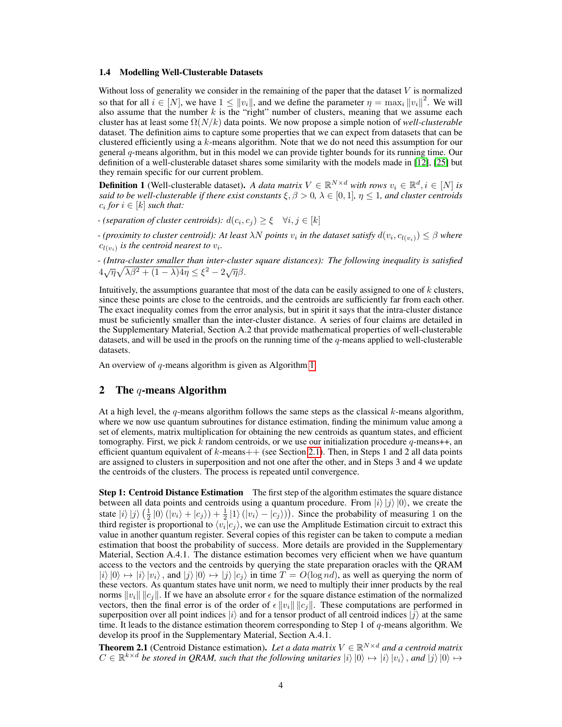### <span id="page-3-0"></span>1.4 Modelling Well-Clusterable Datasets

Without loss of generality we consider in the remaining of the paper that the dataset  $V$  is normalized so that for all  $i \in [N]$ , we have  $1 \leq ||v_i||$ , and we define the parameter  $\eta = \max_i ||v_i||^2$ . We will also assume that the number  $k$  is the "right" number of clusters, meaning that we assume each cluster has at least some Ω(N/k) data points. We now propose a simple notion of *well-clusterable* dataset. The definition aims to capture some properties that we can expect from datasets that can be clustered efficiently using a  $k$ -means algorithm. Note that we do not need this assumption for our general q-means algorithm, but in this model we can provide tighter bounds for its running time. Our definition of a well-clusterable dataset shares some similarity with the models made in [\[12\]](#page-9-4), [\[25\]](#page-10-10) but they remain specific for our current problem.

**Definition 1** (Well-clusterable dataset). A data matrix  $V \in \mathbb{R}^{N \times d}$  with rows  $v_i \in \mathbb{R}^d, i \in [N]$  is *said to be well-clusterable if there exist constants*  $\xi, \beta > 0, \lambda \in [0, 1], \eta \leq 1$ *, and cluster centroids*  $c_i$  for  $i \in [k]$  such that:

*-* (separation of cluster centroids):  $d(c_i, c_j) \geq \xi \quad \forall i, j \in [k]$ 

*-* (proximity to cluster centroid): At least  $\lambda N$  points  $v_i$  in the dataset satisfy  $d(v_i, c_{l(v_i)}) \leq \beta$  where  $c_{l(v_i)}$  is the centroid nearest to  $v_i$ .

*- (Intra-cluster smaller than inter-cluster square distances): The following inequality is satisfied*  $4\sqrt{\eta}\sqrt{\lambda\beta^2 + (1-\lambda)4\eta} \leq \xi^2 - 2\sqrt{\eta}\beta.$ 

Intuitively, the assumptions guarantee that most of the data can be easily assigned to one of  $k$  clusters, since these points are close to the centroids, and the centroids are sufficiently far from each other. The exact inequality comes from the error analysis, but in spirit it says that the intra-cluster distance must be suficiently smaller than the inter-cluster distance. A series of four claims are detailed in the Supplementary Material, Section A.2 that provide mathematical properties of well-clusterable datasets, and will be used in the proofs on the running time of the  $q$ -means applied to well-clusterable datasets.

An overview of  $q$ -means algorithm is given as Algorithm [1.](#page-6-0)

### 2 The q-means Algorithm

At a high level, the q-means algorithm follows the same steps as the classical  $k$ -means algorithm, where we now use quantum subroutines for distance estimation, finding the minimum value among a set of elements, matrix multiplication for obtaining the new centroids as quantum states, and efficient tomography. First, we pick k random centroids, or we use our initialization procedure  $q$ -means++, an efficient quantum equivalent of  $k$ -means $++$  (see Section [2.1\)](#page-5-1). Then, in Steps 1 and 2 all data points are assigned to clusters in superposition and not one after the other, and in Steps 3 and 4 we update the centroids of the clusters. The process is repeated until convergence.

**Step 1: Centroid Distance Estimation** The first step of the algorithm estimates the square distance between all data points and centroids using a quantum procedure. From  $|i\rangle |j\rangle |0\rangle$ , we create the state  $|i\rangle |j\rangle \left(\frac{1}{2} |0\rangle (|v_i\rangle + |c_j\rangle) + \frac{1}{2} |1\rangle (|v_i\rangle - |c_j\rangle)\right)$ . Since the probability of measuring 1 on the third register is proportional to  $\langle v_i | c_j \rangle$ , we can use the Amplitude Estimation circuit to extract this value in another quantum register. Several copies of this register can be taken to compute a median estimation that boost the probability of success. More details are provided in the Supplementary Material, Section A.4.1. The distance estimation becomes very efficient when we have quantum access to the vectors and the centroids by querying the state preparation oracles with the QRAM  $|i\rangle|0\rangle \mapsto |i\rangle|v_i\rangle$ , and  $|j\rangle|0\rangle \mapsto |j\rangle|c_j\rangle$  in time  $T = O(\log nd)$ , as well as querying the norm of these vectors. As quantum states have unit norm, we need to multiply their inner products by the real norms  $||v_i|| ||c_j||$ . If we have an absolute error  $\epsilon$  for the square distance estimation of the normalized vectors, then the final error is of the order of  $\epsilon ||v_i|| ||c_i||$ . These computations are performed in superposition over all point indices  $|i\rangle$  and for a tensor product of all centroid indices  $|j\rangle$  at the same time. It leads to the distance estimation theorem corresponding to Step 1 of q-means algorithm. We develop its proof in the Supplementary Material, Section A.4.1.

<span id="page-3-1"></span>**Theorem 2.1** (Centroid Distance estimation). Let a data matrix  $V \in \mathbb{R}^{N \times d}$  and a centroid matrix  $C \in \mathbb{R}^{k \times d}$  be stored in QRAM, such that the following unitaries  $|i\rangle |0\rangle \mapsto |i\rangle |v_i\rangle$ , and  $|j\rangle |0\rangle \mapsto$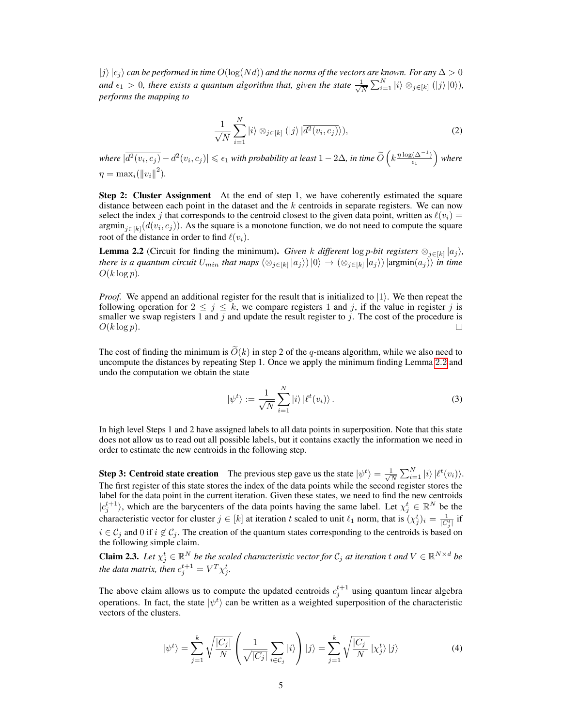$|j\rangle |c_j\rangle$  can be performed in time  $O(\log(Nd))$  and the norms of the vectors are known. For any  $\Delta > 0$ and  $\epsilon_1 > 0$ , there exists a quantum algorithm that, given the state  $\frac{1}{\sqrt{2}}$  $\frac{1}{\overline{N}}\sum_{i=1}^N|i\rangle\otimes_{j\in[k]}(|j\rangle|0\rangle),$ *performs the mapping to*

$$
\frac{1}{\sqrt{N}}\sum_{i=1}^{N}|i\rangle\otimes_{j\in[k]}(|j\rangle|\overline{d^{2}(v_{i},c_{j})}\rangle),\tag{2}
$$

 $where \ |\overline{d^2(v_i,c_j)}-d^2(v_i,c_j)| \leqslant \epsilon_1 \text{ with probability at least } 1-2\Delta, \text{ in time } \widetilde{O}\left(k\frac{\eta\log(\Delta^{-1})}{\epsilon_1}\right)$  $\frac{(\Delta^{-1})}{\epsilon_1}$  where  $\eta = \max_i (||v_i||^2).$ 

Step 2: Cluster Assignment At the end of step 1, we have coherently estimated the square distance between each point in the dataset and the  $k$  centroids in separate registers. We can now select the index j that corresponds to the centroid closest to the given data point, written as  $\ell(v_i)$  = argmin $_{j\in[k]}(d(v_i,c_j))$ . As the square is a monotone function, we do not need to compute the square root of the distance in order to find  $\ell(v_i)$ .

<span id="page-4-0"></span>**Lemma 2.2** (Circuit for finding the minimum). *Given* k different  $\log p$ -bit registers  $\otimes_{j \in [k]} |a_j\rangle$ , *there is a quantum circuit*  $U_{min}$  *that maps*  $(\otimes_{j\in[k]} |a_j\rangle)|0\rangle \to (\otimes_{j\in[k]} |a_j\rangle)|$  argmin $(a_j)\rangle$  *in time*  $O(k \log p)$ .

*Proof.* We append an additional register for the result that is initialized to  $|1\rangle$ . We then repeat the following operation for  $2 \leq j \leq k$ , we compare registers 1 and j, if the value in register j is smaller we swap registers 1 and j and update the result register to j. The cost of the procedure is  $O(k \log p)$ .  $\Box$ 

The cost of finding the minimum is  $\tilde{O}(k)$  in step 2 of the q-means algorithm, while we also need to uncompute the distances by repeating Step 1. Once we apply the minimum finding Lemma [2](#page-4-0).2 and undo the computation we obtain the state

$$
|\psi^t\rangle := \frac{1}{\sqrt{N}} \sum_{i=1}^N |i\rangle \left| \ell^t(v_i) \right\rangle.
$$
 (3)

In high level Steps 1 and 2 have assigned labels to all data points in superposition. Note that this state does not allow us to read out all possible labels, but it contains exactly the information we need in order to estimate the new centroids in the following step.

**Step 3: Centroid state creation** The previous step gave us the state  $|\psi^t\rangle = \frac{1}{\sqrt{2}}$  $\frac{1}{\overline{N}}\sum_{i=1}^N|i\rangle|\ell^t(v_i)\rangle.$ The first register of this state stores the index of the data points while the second register stores the label for the data point in the current iteration. Given these states, we need to find the new centroids  $|c_j^{t+1}\rangle$ , which are the barycenters of the data points having the same label. Let  $\chi_j^t \in \mathbb{R}^N$  be the characteristic vector for cluster  $j \in [k]$  at iteration t scaled to unit  $\ell_1$  norm, that is  $(\chi_j^t)_i = \frac{1}{|C_j^t|}$  if  $i \in C_j$  and 0 if  $i \notin C_j$ . The creation of the quantum states corresponding to the centroids is based on the following simple claim.

**Claim 2.3.** Let  $\chi_j^t \in \mathbb{R}^N$  be the scaled characteristic vector for  $C_j$  at iteration t and  $V \in \mathbb{R}^{N \times d}$  be *the data matrix, then*  $c_j^{t+1} = V^T \chi_j^t$ .

The above claim allows us to compute the updated centroids  $c_j^{t+1}$  using quantum linear algebra operations. In fact, the state  $|\psi^t\rangle$  can be written as a weighted superposition of the characteristic vectors of the clusters.

$$
|\psi^t\rangle = \sum_{j=1}^k \sqrt{\frac{|C_j|}{N}} \left( \frac{1}{\sqrt{|C_j|}} \sum_{i \in C_j} |i\rangle \right) |j\rangle = \sum_{j=1}^k \sqrt{\frac{|C_j|}{N}} |x_j^t\rangle |j\rangle \tag{4}
$$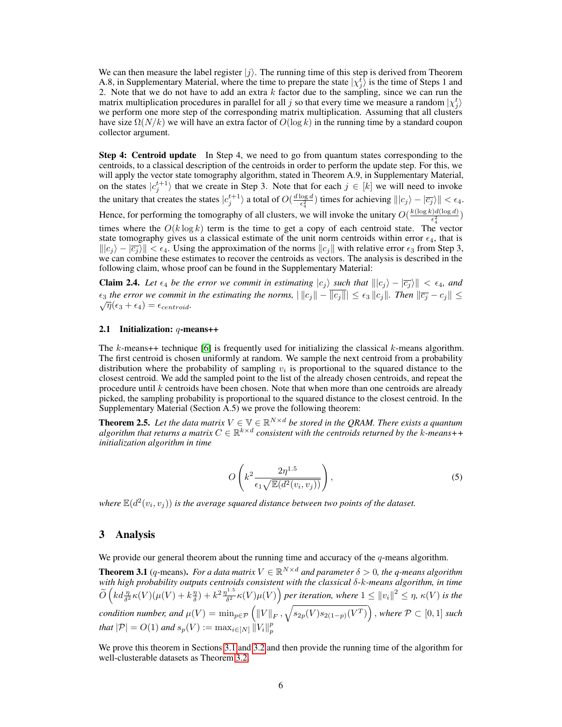We can then measure the label register  $|j\rangle$ . The running time of this step is derived from Theorem A.8, in Supplementary Material, where the time to prepare the state  $|\chi_j^t\rangle$  is the time of Steps 1 and 2. Note that we do not have to add an extra  $k$  factor due to the sampling, since we can run the matrix multiplication procedures in parallel for all j so that every time we measure a random  $|\chi_j^t\rangle$ we perform one more step of the corresponding matrix multiplication. Assuming that all clusters have size  $\Omega(N/k)$  we will have an extra factor of  $O(\log k)$  in the running time by a standard coupon collector argument.

Step 4: Centroid update In Step 4, we need to go from quantum states corresponding to the centroids, to a classical description of the centroids in order to perform the update step. For this, we will apply the vector state tomography algorithm, stated in Theorem A.9, in Supplementary Material, on the states  $|c_j^{t+1}\rangle$  that we create in Step 3. Note that for each  $j \in [k]$  we will need to invoke the unitary that creates the states  $|c_j^{t+1}\rangle$  a total of  $O(\frac{d\log d}{\epsilon_1^2})$  $\frac{\log d}{\epsilon_4^2}$ ) times for achieving  $\| |c_j\rangle - |\overline{c_j}\rangle \| < \epsilon_4$ . Hence, for performing the tomography of all clusters, we will invoke the unitary  $O(\frac{k(\log k)d(\log d)}{\epsilon^2})$  $\frac{\epsilon_1^2}{\epsilon_4^2}$ times where the  $O(k \log k)$  term is the time to get a copy of each centroid state. The vector state tomography gives us a classical estimate of the unit norm centroids within error  $\epsilon_4$ , that is  $\|c_i\rangle - \overline{c_i}\rangle \| < \epsilon_4$ . Using the approximation of the norms  $\|c_i\|$  with relative error  $\epsilon_3$  from Step 3, we can combine these estimates to recover the centroids as vectors. The analysis is described in the following claim, whose proof can be found in the Supplementary Material:

<span id="page-5-2"></span>**Claim 2.4.** Let  $\epsilon_4$  be the error we commit in estimating  $|c_j\rangle$  such that  $\| |c_j\rangle - |\overline{c_j}\rangle \| < \epsilon_4$ , and  $\epsilon_3$  *the error we commit in the estimating the norms,*  $||c_j|| - ||c_j|| \leq \epsilon_3 ||c_j||$ *. Then*  $||\overline{c_j} - c_j|| \leq$  $\sqrt{\eta}(\epsilon_3 + \epsilon_4) = \epsilon_{centroid}.$ 

### <span id="page-5-1"></span>2.1 Initialization:  $q$ -means++

The  $k$ -means++ technique [\[6\]](#page-9-5) is frequently used for initializing the classical  $k$ -means algorithm. The first centroid is chosen uniformly at random. We sample the next centroid from a probability distribution where the probability of sampling  $v_i$  is proportional to the squared distance to the closest centroid. We add the sampled point to the list of the already chosen centroids, and repeat the procedure until  $k$  centroids have been chosen. Note that when more than one centroids are already picked, the sampling probability is proportional to the squared distance to the closest centroid. In the Supplementary Material (Section A.5) we prove the following theorem:

**Theorem 2.5.** Let the data matrix  $V \in \mathbb{V} \in \mathbb{R}^{N \times d}$  be stored in the QRAM. There exists a quantum  $a$ lgorithm that returns a matrix  $C \in \mathbb{R}^{k \times d}$  consistent with the centroids returned by the  $k$ -means++ *initialization algorithm in time*

$$
O\left(k^2 \frac{2\eta^{1.5}}{\epsilon_1 \sqrt{\mathbb{E}(d^2(v_i, v_j))}}\right),\tag{5}
$$

where  $\mathbb{E}(d^2(v_i, v_j))$  is the average squared distance between two points of the dataset.

# 3 Analysis

We provide our general theorem about the running time and accuracy of the  $q$ -means algorithm.

<span id="page-5-0"></span>**Theorem 3.1** (q-means). For a data matrix  $V \in \mathbb{R}^{N \times d}$  and parameter  $\delta > 0$ , the q-means algorithm *with high probability outputs centroids consistent with the classical* δ*-*k*-means algorithm, in time*  $\widetilde{O}\left(k d \frac{\eta}{\delta^2} \kappa(V) (\mu(V) + k \frac{\eta}{\delta}) + k^2 \frac{\eta^{1.5}}{\delta^2}\right)$  $\frac{\lambda^{1.5}}{\delta^2} \kappa(V) \mu(V) \Big)$  per iteration, where  $1 \leq {\|v_i\|^2} \leq \eta, \, \kappa(V)$  is the  $condition$  number, and  $\mu(V) = \min_{p \in \mathcal{P}} \left( ||V||_F, \sqrt{s_{2p}(V) s_{2(1-p)}(V^T)} \right)$ , where  $\mathcal{P} \subset [0,1]$  such that  $|\mathcal{P}| = O(1)$  and  $s_p(V) := \max_{i \in [N]} \|\dot{V}_i\|_p^p$ 

We prove this theorem in Sections [3.1](#page-6-1) and [3.2](#page-7-2) and then provide the running time of the algorithm for well-clusterable datasets as Theorem [3.2.](#page-7-0)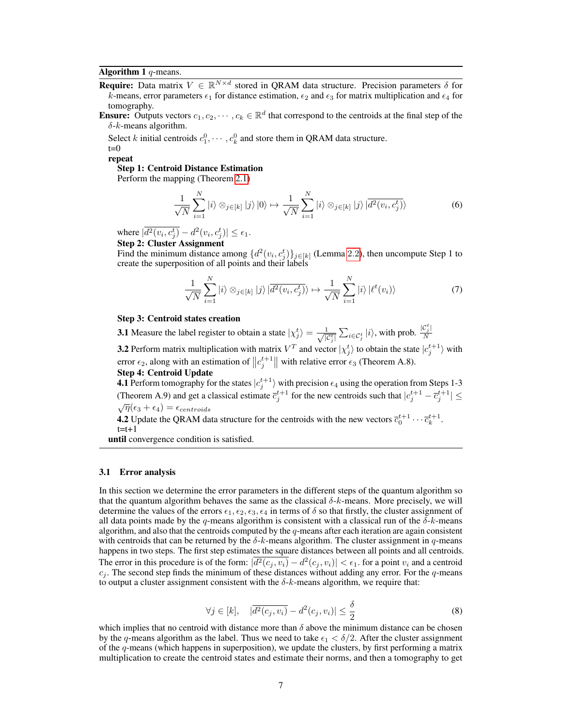#### Algorithm 1  $q$ -means.

- <span id="page-6-0"></span>**Require:** Data matrix  $V \in \mathbb{R}^{N \times d}$  stored in QRAM data structure. Precision parameters  $\delta$  for  $\vec{k}$ -means, error parameters  $\epsilon_1$  for distance estimation,  $\epsilon_2$  and  $\epsilon_3$  for matrix multiplication and  $\epsilon_4$  for tomography.
- **Ensure:** Outputs vectors  $c_1, c_2, \cdots, c_k \in \mathbb{R}^d$  that correspond to the centroids at the final step of the  $\delta$ -k-means algorithm.

Select k initial centroids  $c_1^0, \dots, c_k^0$  and store them in QRAM data structure.

 $t=0$ repeat

Step 1: Centroid Distance Estimation

Perform the mapping (Theorem [2.1\)](#page-3-1)

$$
\frac{1}{\sqrt{N}}\sum_{i=1}^{N}|i\rangle\otimes_{j\in[k]}|j\rangle|0\rangle \mapsto \frac{1}{\sqrt{N}}\sum_{i=1}^{N}|i\rangle\otimes_{j\in[k]}|j\rangle|\overline{d^{2}(v_{i},c_{j}^{t})}\rangle
$$
(6)

where  $|\overline{d^2(v_i, c_j^t)} - d^2(v_i, c_j^t)| \le \epsilon_1$ .

Step 2: Cluster Assignment

Find the minimum distance among  $\{d^2(v_i, c_j^t)\}_{j \in [k]}$  $\{d^2(v_i, c_j^t)\}_{j \in [k]}$  $\{d^2(v_i, c_j^t)\}_{j \in [k]}$  (Lemma 2.2), then uncompute Step 1 to create the superposition of all points and their labels

$$
\frac{1}{\sqrt{N}}\sum_{i=1}^{N}|i\rangle\otimes_{j\in[k]}|j\rangle|\overline{d^{2}(v_{i},c_{j}^{t})}\rangle \mapsto \frac{1}{\sqrt{N}}\sum_{i=1}^{N}|i\rangle|\ell^{t}(v_{i})\rangle
$$
\n(7)

#### Step 3: Centroid states creation

**3.1** Measure the label register to obtain a state  $|\chi_j^t\rangle = \frac{1}{\sqrt{a}}$  $\frac{1}{|C_j^t|} \sum_{i \in C_j^t} |i\rangle$ , with prob.  $\frac{|C_j^t|}{N}$ N

**3.2** Perform matrix multiplication with matrix  $V^T$  and vector  $|\chi_j^t\rangle$  to obtain the state  $|c_j^{t+1}\rangle$  with error  $\epsilon_2$ , along with an estimation of  $||c_j^{t+1}||$  with relative error  $\epsilon_3$  (Theorem A.8).

### Step 4: Centroid Update

**4.1** Perform tomography for the states  $|c_j^{t+1}\rangle$  with precision  $\epsilon_4$  using the operation from Steps 1-3 (Theorem A.9) and get a classical estimate  $\bar{c}_j^{t+1}$  for the new centroids such that  $|c_j^{t+1} - \bar{c}_j^{t+1}| \le$  $\sqrt{\eta}(\epsilon_3 + \epsilon_4) = \epsilon_{centroids}$ 

**4.2** Update the QRAM data structure for the centroids with the new vectors  $\bar{c}_0^{t+1} \cdots \bar{c}_k^{t+1}$ .  $t=t+1$ 

until convergence condition is satisfied.

#### <span id="page-6-1"></span>3.1 Error analysis

In this section we determine the error parameters in the different steps of the quantum algorithm so that the quantum algorithm behaves the same as the classical  $\delta$ -k-means. More precisely, we will determine the values of the errors  $\epsilon_1, \epsilon_2, \epsilon_3, \epsilon_4$  in terms of  $\delta$  so that firstly, the cluster assignment of all data points made by the q-means algorithm is consistent with a classical run of the  $\delta$ -k-means algorithm, and also that the centroids computed by the  $q$ -means after each iteration are again consistent with centroids that can be returned by the  $\delta$ -k-means algorithm. The cluster assignment in q-means happens in two steps. The first step estimates the square distances between all points and all centroids. The error in this procedure is of the form:  $|\overline{d^2(c_j, v_i)} - d^2(c_j, v_i)| < \epsilon_1$ . for a point  $v_i$  and a centroid  $c_j$ . The second step finds the minimum of these distances without adding any error. For the  $q$ -means to output a cluster assignment consistent with the  $\delta$ -k-means algorithm, we require that:

$$
\forall j \in [k], \quad |\overline{d^2(c_j, v_i)} - d^2(c_j, v_i)| \le \frac{\delta}{2}
$$
\n
$$
(8)
$$

which implies that no centroid with distance more than  $\delta$  above the minimum distance can be chosen by the q-means algorithm as the label. Thus we need to take  $\epsilon_1 < \delta/2$ . After the cluster assignment of the q-means (which happens in superposition), we update the clusters, by first performing a matrix multiplication to create the centroid states and estimate their norms, and then a tomography to get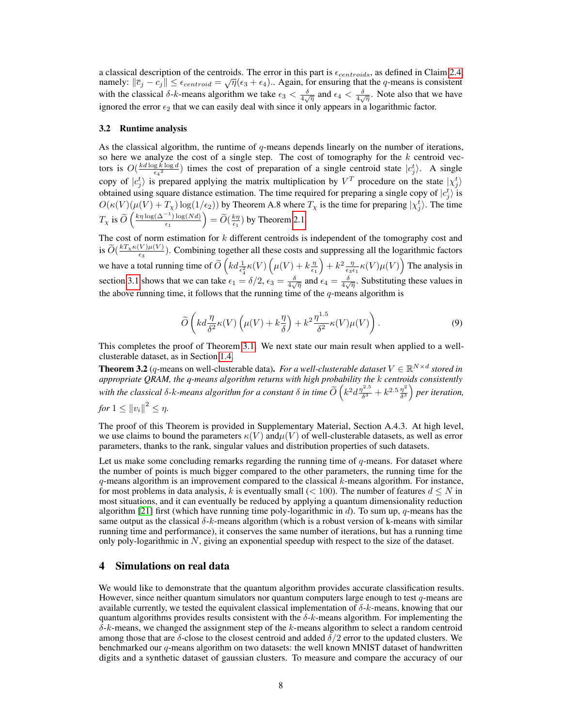a classical description of the centroids. The error in this part is  $\epsilon_{centroids}$ , as defined in Claim [2.4,](#page-5-2) a classical description of the centroids. The efform this part is  $\epsilon_{centroids}$ , as defined in Claim 2.4, namely:  $\|\bar{c}_j - c_j\| \leq \epsilon_{centroid} = \sqrt{\eta}(\epsilon_3 + \epsilon_4)$ . Again, for ensuring that the q-means is consistent with the classical  $\delta$ -k-means algorithm we take  $\epsilon_3 < \frac{\delta}{4\sqrt{\eta}}$  and  $\epsilon_4 < \frac{\delta}{4\sqrt{\eta}}$ . Note also that we have ignored the error  $\epsilon_2$  that we can easily deal with since it only appears in a logarithmic factor.

#### <span id="page-7-2"></span>3.2 Runtime analysis

As the classical algorithm, the runtime of  $q$ -means depends linearly on the number of iterations, so here we analyze the cost of a single step. The cost of tomography for the  $k$  centroid vectors is  $O(\frac{kd \log k \log d}{\epsilon_4^2})$  times the cost of preparation of a single centroid state  $|c_j^t\rangle$ . A single copy of  $|c_j^t\rangle$  is prepared applying the matrix multiplication by  $V^T$  procedure on the state  $|\chi_j^t\rangle$ obtained using square distance estimation. The time required for preparing a single copy of  $|c_j^t\rangle$  is  $O(\kappa(V)(\mu(V) + T_\chi) \log(1/\epsilon_2))$  by Theorem A.8 where  $T_\chi$  is the time for preparing  $|\chi_j^t\rangle$ . The time  $T_{\chi}$  is  $\widetilde{O}\left(\frac{k\eta\log(\Delta^{-1})\log(Nd)}{\epsilon_1}\right)$  $\left( \frac{\epsilon_1}{\epsilon_1} \right) \log(Nd)$  =  $\widetilde{O}(\frac{k\eta}{\epsilon_1})$  by Theorem [2.1.](#page-3-1)

The cost of norm estimation for  $k$  different centroids is independent of the tomography cost and is  $\widetilde{O}(\frac{kT_X\kappa(V)\mu(V)}{\epsilon_3}$  $\frac{\sqrt{v}\mu(v)}{\epsilon_3}$ ). Combining together all these costs and suppressing all the logarithmic factors we have a total running time of  $\widetilde{O}\left(k d \frac{1}{\epsilon_4^2} \kappa(V) \left(\mu(V) + k \frac{\eta}{\epsilon_1}\right) + k^2 \frac{\eta}{\epsilon_3 \epsilon_1} \kappa(V) \mu(V)\right)$  The analysis in section [3.1](#page-6-1) shows that we can take  $\epsilon_1 = \delta/2$ ,  $\epsilon_3 = \frac{\delta}{4\sqrt{\eta}}$  and  $\epsilon_4 = \frac{\delta}{4\sqrt{\eta}}$ . Substituting these values in the above running time, it follows that the running time of the  $q$ -means algorithm is

$$
\widetilde{O}\left(k d \frac{\eta}{\delta^2} \kappa(V) \left(\mu(V) + k \frac{\eta}{\delta}\right) + k^2 \frac{\eta^{1.5}}{\delta^2} \kappa(V)\mu(V)\right). \tag{9}
$$

This completes the proof of Theorem [3.1.](#page-5-0) We next state our main result when applied to a wellclusterable dataset, as in Section [1.4.](#page-3-0)

<span id="page-7-0"></span>**Theorem 3.2** (q-means on well-clusterable data). *For a well-clusterable dataset*  $V \in \mathbb{R}^{N \times d}$  *stored in appropriate QRAM, the q-means algorithm returns with high probability the* k *centroids consistently* with the classical  $\delta$ -k-means algorithm for a constant  $\delta$  in time  $\widetilde{O}\left(k^2d\frac{\eta^{2.5}}{\delta^3}\right)$  $\frac{\eta^{2.5}}{\delta^3}+k^{2.5}\frac{\eta^2}{\delta^3}$  $\frac{\eta^2}{\delta^3}$  *per iteration,* 

$$
for 1 \leq ||v_i||^2 \leq \eta.
$$

The proof of this Theorem is provided in Supplementary Material, Section A.4.3. At high level, we use claims to bound the parameters  $\kappa(V)$  and  $\mu(V)$  of well-clusterable datasets, as well as error parameters, thanks to the rank, singular values and distribution properties of such datasets.

Let us make some concluding remarks regarding the running time of  $q$ -means. For dataset where the number of points is much bigger compared to the other parameters, the running time for the q-means algorithm is an improvement compared to the classical k-means algorithm. For instance, for most problems in data analysis, k is eventually small ( $< 100$ ). The number of features  $d \leq N$  in most situations, and it can eventually be reduced by applying a quantum dimensionality reduction algorithm [\[21\]](#page-10-4) first (which have running time poly-logarithmic in d). To sum up, q-means has the same output as the classical  $\delta k$ -means algorithm (which is a robust version of k-means with similar running time and performance), it conserves the same number of iterations, but has a running time only poly-logarithmic in  $N$ , giving an exponential speedup with respect to the size of the dataset.

# <span id="page-7-1"></span>4 Simulations on real data

We would like to demonstrate that the quantum algorithm provides accurate classification results. However, since neither quantum simulators nor quantum computers large enough to test  $q$ -means are available currently, we tested the equivalent classical implementation of  $\delta$ -k-means, knowing that our quantum algorithms provides results consistent with the  $\delta$ -k-means algorithm. For implementing the  $\delta$ -k-means, we changed the assignment step of the k-means algorithm to select a random centroid among those that are  $\delta$ -close to the closest centroid and added  $\delta/2$  error to the updated clusters. We benchmarked our  $q$ -means algorithm on two datasets: the well known MNIST dataset of handwritten digits and a synthetic dataset of gaussian clusters. To measure and compare the accuracy of our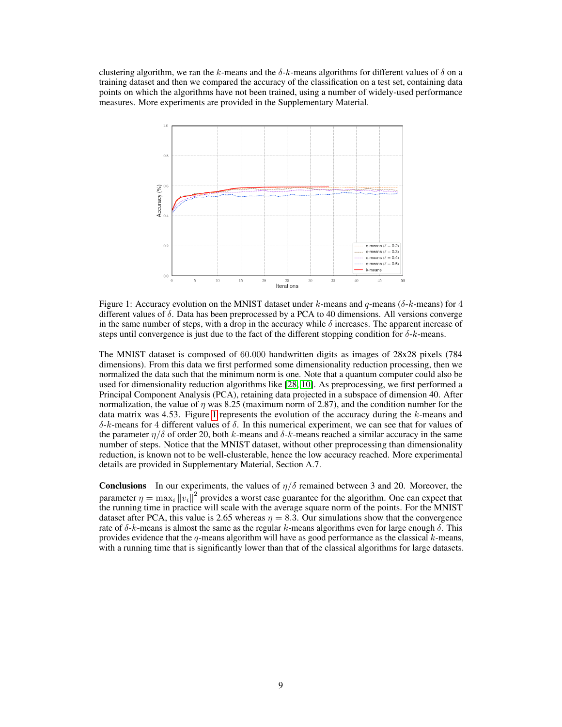clustering algorithm, we ran the k-means and the  $\delta$ -k-means algorithms for different values of  $\delta$  on a training dataset and then we compared the accuracy of the classification on a test set, containing data points on which the algorithms have not been trained, using a number of widely-used performance measures. More experiments are provided in the Supplementary Material.



<span id="page-8-0"></span>Figure 1: Accuracy evolution on the MNIST dataset under k-means and q-means ( $\delta$ -k-means) for 4 different values of  $\delta$ . Data has been preprocessed by a PCA to 40 dimensions. All versions converge in the same number of steps, with a drop in the accuracy while  $\delta$  increases. The apparent increase of steps until convergence is just due to the fact of the different stopping condition for  $\delta$ -k-means.

The MNIST dataset is composed of 60.000 handwritten digits as images of 28x28 pixels (784 dimensions). From this data we first performed some dimensionality reduction processing, then we normalized the data such that the minimum norm is one. Note that a quantum computer could also be used for dimensionality reduction algorithms like [\[28,](#page-10-0) [10\]](#page-9-6). As preprocessing, we first performed a Principal Component Analysis (PCA), retaining data projected in a subspace of dimension 40. After normalization, the value of  $\eta$  was 8.25 (maximum norm of 2.87), and the condition number for the data matrix was 4.53. Figure [1](#page-8-0) represents the evolution of the accuracy during the  $k$ -means and δ-k-means for 4 different values of δ. In this numerical experiment, we can see that for values of the parameter  $\eta/\delta$  of order 20, both k-means and  $\delta$ -k-means reached a similar accuracy in the same number of steps. Notice that the MNIST dataset, without other preprocessing than dimensionality reduction, is known not to be well-clusterable, hence the low accuracy reached. More experimental details are provided in Supplementary Material, Section A.7.

**Conclusions** In our experiments, the values of  $\eta/\delta$  remained between 3 and 20. Moreover, the parameter  $\eta = \max_i \|v_i\|^2$  provides a worst case guarantee for the algorithm. One can expect that the running time in practice will scale with the average square norm of the points. For the MNIST dataset after PCA, this value is 2.65 whereas  $\eta = 8.3$ . Our simulations show that the convergence rate of δ-k-means is almost the same as the regular k-means algorithms even for large enough δ. This provides evidence that the q-means algorithm will have as good performance as the classical  $k$ -means, with a running time that is significantly lower than that of the classical algorithms for large datasets.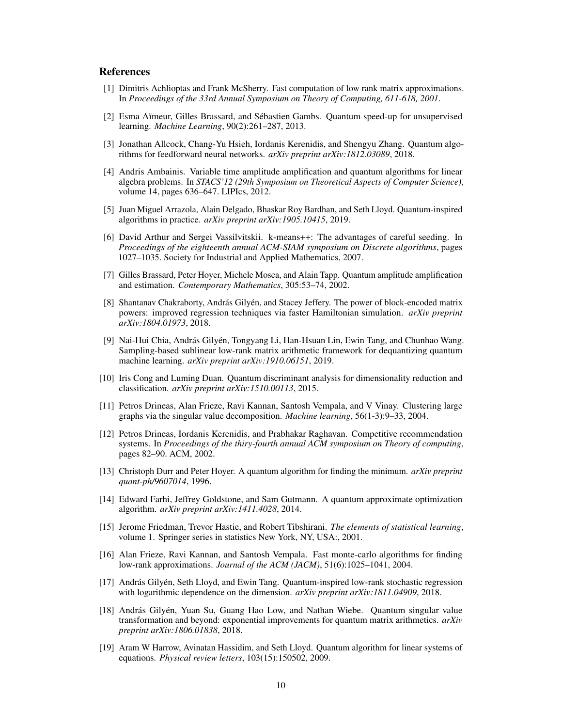# References

- [1] Dimitris Achlioptas and Frank McSherry. Fast computation of low rank matrix approximations. In *Proceedings of the 33rd Annual Symposium on Theory of Computing, 611-618, 2001*.
- [2] Esma Aïmeur, Gilles Brassard, and Sébastien Gambs. Quantum speed-up for unsupervised learning. *Machine Learning*, 90(2):261–287, 2013.
- <span id="page-9-1"></span>[3] Jonathan Allcock, Chang-Yu Hsieh, Iordanis Kerenidis, and Shengyu Zhang. Quantum algorithms for feedforward neural networks. *arXiv preprint arXiv:1812.03089*, 2018.
- [4] Andris Ambainis. Variable time amplitude amplification and quantum algorithms for linear algebra problems. In *STACS'12 (29th Symposium on Theoretical Aspects of Computer Science)*, volume 14, pages 636–647. LIPIcs, 2012.
- <span id="page-9-3"></span>[5] Juan Miguel Arrazola, Alain Delgado, Bhaskar Roy Bardhan, and Seth Lloyd. Quantum-inspired algorithms in practice. *arXiv preprint arXiv:1905.10415*, 2019.
- <span id="page-9-5"></span>[6] David Arthur and Sergei Vassilvitskii. k-means++: The advantages of careful seeding. In *Proceedings of the eighteenth annual ACM-SIAM symposium on Discrete algorithms*, pages 1027–1035. Society for Industrial and Applied Mathematics, 2007.
- [7] Gilles Brassard, Peter Hoyer, Michele Mosca, and Alain Tapp. Quantum amplitude amplification and estimation. *Contemporary Mathematics*, 305:53–74, 2002.
- <span id="page-9-0"></span>[8] Shantanav Chakraborty, András Gilyén, and Stacey Jeffery. The power of block-encoded matrix powers: improved regression techniques via faster Hamiltonian simulation. *arXiv preprint arXiv:1804.01973*, 2018.
- <span id="page-9-2"></span>[9] Nai-Hui Chia, András Gilyén, Tongyang Li, Han-Hsuan Lin, Ewin Tang, and Chunhao Wang. Sampling-based sublinear low-rank matrix arithmetic framework for dequantizing quantum machine learning. *arXiv preprint arXiv:1910.06151*, 2019.
- <span id="page-9-6"></span>[10] Iris Cong and Luming Duan. Quantum discriminant analysis for dimensionality reduction and classification. *arXiv preprint arXiv:1510.00113*, 2015.
- [11] Petros Drineas, Alan Frieze, Ravi Kannan, Santosh Vempala, and V Vinay. Clustering large graphs via the singular value decomposition. *Machine learning*, 56(1-3):9–33, 2004.
- <span id="page-9-4"></span>[12] Petros Drineas, Iordanis Kerenidis, and Prabhakar Raghavan. Competitive recommendation systems. In *Proceedings of the thiry-fourth annual ACM symposium on Theory of computing*, pages 82–90. ACM, 2002.
- [13] Christoph Durr and Peter Hoyer. A quantum algorithm for finding the minimum. *arXiv preprint quant-ph/9607014*, 1996.
- [14] Edward Farhi, Jeffrey Goldstone, and Sam Gutmann. A quantum approximate optimization algorithm. *arXiv preprint arXiv:1411.4028*, 2014.
- [15] Jerome Friedman, Trevor Hastie, and Robert Tibshirani. *The elements of statistical learning*, volume 1. Springer series in statistics New York, NY, USA:, 2001.
- [16] Alan Frieze, Ravi Kannan, and Santosh Vempala. Fast monte-carlo algorithms for finding low-rank approximations. *Journal of the ACM (JACM)*, 51(6):1025–1041, 2004.
- [17] András Gilyén, Seth Lloyd, and Ewin Tang. Quantum-inspired low-rank stochastic regression with logarithmic dependence on the dimension. *arXiv preprint arXiv:1811.04909*, 2018.
- [18] András Gilyén, Yuan Su, Guang Hao Low, and Nathan Wiebe. Quantum singular value transformation and beyond: exponential improvements for quantum matrix arithmetics. *arXiv preprint arXiv:1806.01838*, 2018.
- [19] Aram W Harrow, Avinatan Hassidim, and Seth Lloyd. Quantum algorithm for linear systems of equations. *Physical review letters*, 103(15):150502, 2009.